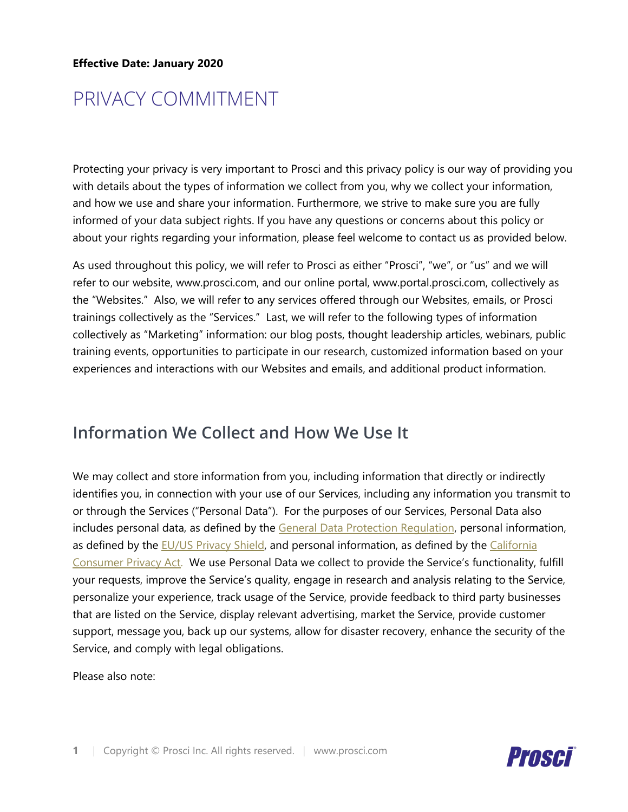#### **Effective Date: January 2020**

# PRIVACY COMMITMENT

Protecting your privacy is very important to Prosci and this privacy policy is our way of providing you with details about the types of information we collect from you, why we collect your information, and how we use and share your information. Furthermore, we strive to make sure you are fully informed of your data subject rights. If you have any questions or concerns about this policy or about your rights regarding your information, please feel welcome to contact us as provided below.

As used throughout this policy, we will refer to Prosci as either "Prosci", "we", or "us" and we will refer to our website, www.prosci.com, and our online portal, www.portal.prosci.com, collectively as the "Websites." Also, we will refer to any services offered through our Websites, emails, or Prosci trainings collectively as the "Services." Last, we will refer to the following types of information collectively as "Marketing" information: our blog posts, thought leadership articles, webinars, public training events, opportunities to participate in our research, customized information based on your experiences and interactions with our Websites and emails, and additional product information.

#### **Information We Collect and How We Use It**

We may collect and store information from you, including information that directly or indirectly identifies you, in connection with your use of our Services, including any information you transmit to or through the Services ("Personal Data"). For the purposes of our Services, Personal Data also includes personal data, as defined by the [General Data Protection Regulation,](https://ec.europa.eu/info/law/law-topic/data-protection/reform/what-personal-data_en) personal information, as defined by the [EU/US Privacy Shield,](https://www.privacyshield.gov/article?id=OVERVIEW) and personal information, as defined by the California [Consumer Privacy Act.](https://oag.ca.gov/sites/all/files/agweb/pdfs/privacy/ccpa-proposed-regs.pdf) We use Personal Data we collect to provide the Service's functionality, fulfill your requests, improve the Service's quality, engage in research and analysis relating to the Service, personalize your experience, track usage of the Service, provide feedback to third party businesses that are listed on the Service, display relevant advertising, market the Service, provide customer support, message you, back up our systems, allow for disaster recovery, enhance the security of the Service, and comply with legal obligations.

Please also note:

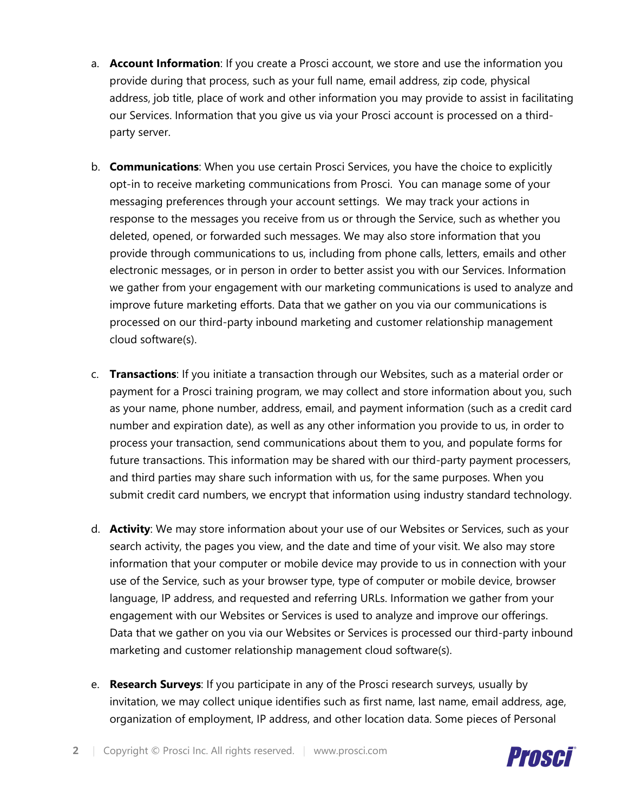- a. **Account Information**: If you create a Prosci account, we store and use the information you provide during that process, such as your full name, email address, zip code, physical address, job title, place of work and other information you may provide to assist in facilitating our Services. Information that you give us via your Prosci account is processed on a thirdparty server.
- b. **Communications**: When you use certain Prosci Services, you have the choice to explicitly opt-in to receive marketing communications from Prosci. You can manage some of your messaging preferences through your account settings. We may track your actions in response to the messages you receive from us or through the Service, such as whether you deleted, opened, or forwarded such messages. We may also store information that you provide through communications to us, including from phone calls, letters, emails and other electronic messages, or in person in order to better assist you with our Services. Information we gather from your engagement with our marketing communications is used to analyze and improve future marketing efforts. Data that we gather on you via our communications is processed on our third-party inbound marketing and customer relationship management cloud software(s).
- c. **Transactions**: If you initiate a transaction through our Websites, such as a material order or payment for a Prosci training program, we may collect and store information about you, such as your name, phone number, address, email, and payment information (such as a credit card number and expiration date), as well as any other information you provide to us, in order to process your transaction, send communications about them to you, and populate forms for future transactions. This information may be shared with our third-party payment processers, and third parties may share such information with us, for the same purposes. When you submit credit card numbers, we encrypt that information using industry standard technology.
- d. **Activity**: We may store information about your use of our Websites or Services, such as your search activity, the pages you view, and the date and time of your visit. We also may store information that your computer or mobile device may provide to us in connection with your use of the Service, such as your browser type, type of computer or mobile device, browser language, IP address, and requested and referring URLs. Information we gather from your engagement with our Websites or Services is used to analyze and improve our offerings. Data that we gather on you via our Websites or Services is processed our third-party inbound marketing and customer relationship management cloud software(s).
- e. **Research Surveys**: If you participate in any of the Prosci research surveys, usually by invitation, we may collect unique identifies such as first name, last name, email address, age, organization of employment, IP address, and other location data. Some pieces of Personal

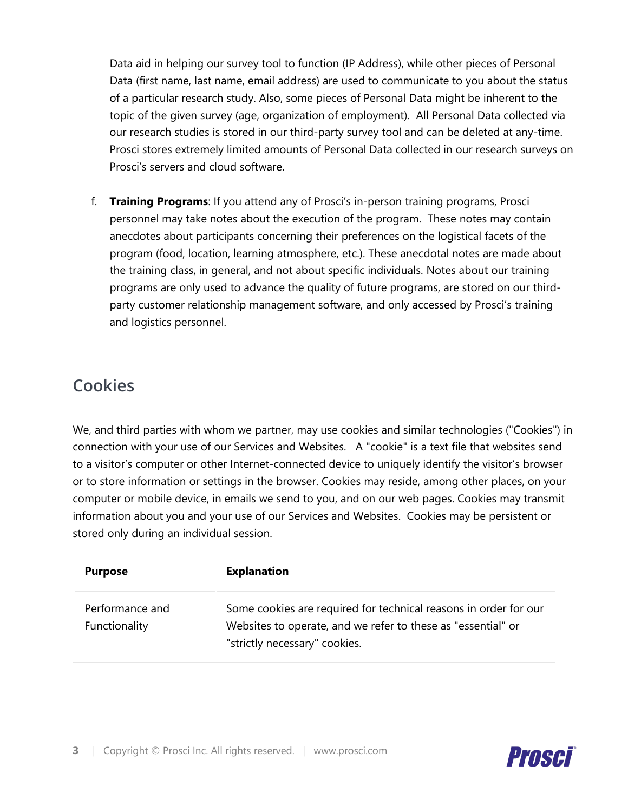Data aid in helping our survey tool to function (IP Address), while other pieces of Personal Data (first name, last name, email address) are used to communicate to you about the status of a particular research study. Also, some pieces of Personal Data might be inherent to the topic of the given survey (age, organization of employment). All Personal Data collected via our research studies is stored in our third-party survey tool and can be deleted at any-time. Prosci stores extremely limited amounts of Personal Data collected in our research surveys on Prosci's servers and cloud software.

f. **Training Programs**: If you attend any of Prosci's in-person training programs, Prosci personnel may take notes about the execution of the program. These notes may contain anecdotes about participants concerning their preferences on the logistical facets of the program (food, location, learning atmosphere, etc.). These anecdotal notes are made about the training class, in general, and not about specific individuals. Notes about our training programs are only used to advance the quality of future programs, are stored on our thirdparty customer relationship management software, and only accessed by Prosci's training and logistics personnel.

#### **Cookies**

We, and third parties with whom we partner, may use cookies and similar technologies ("Cookies") in connection with your use of our Services and Websites. A "cookie" is a text file that websites send to a visitor's computer or other Internet-connected device to uniquely identify the visitor's browser or to store information or settings in the browser. Cookies may reside, among other places, on your computer or mobile device, in emails we send to you, and on our web pages. Cookies may transmit information about you and your use of our Services and Websites. Cookies may be persistent or stored only during an individual session.

| <b>Purpose</b>                   | <b>Explanation</b>                                                                                                                                                |
|----------------------------------|-------------------------------------------------------------------------------------------------------------------------------------------------------------------|
| Performance and<br>Functionality | Some cookies are required for technical reasons in order for our<br>Websites to operate, and we refer to these as "essential" or<br>"strictly necessary" cookies. |

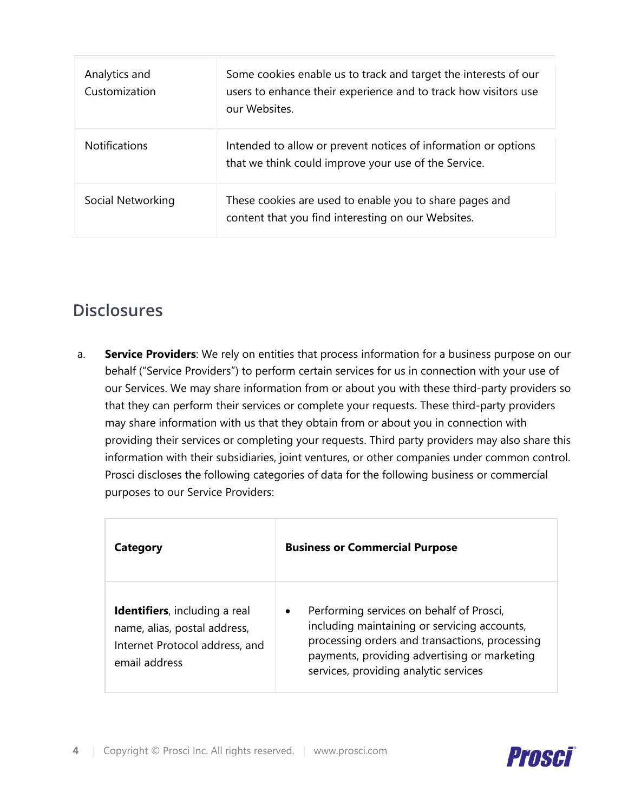| Analytics and<br>Customization | Some cookies enable us to track and target the interests of our<br>users to enhance their experience and to track how visitors use<br>our Websites. |
|--------------------------------|-----------------------------------------------------------------------------------------------------------------------------------------------------|
| <b>Notifications</b>           | Intended to allow or prevent notices of information or options<br>that we think could improve your use of the Service.                              |
| Social Networking              | These cookies are used to enable you to share pages and<br>content that you find interesting on our Websites.                                       |

## **Disclosures**

a. **Service Providers**: We rely on entities that process information for a business purpose on our behalf ("Service Providers") to perform certain services for us in connection with your use of our Services. We may share information from or about you with these third-party providers so that they can perform their services or complete your requests. These third-party providers may share information with us that they obtain from or about you in connection with providing their services or completing your requests. Third party providers may also share this information with their subsidiaries, joint ventures, or other companies under common control. Prosci discloses the following categories of data for the following business or commercial purposes to our Service Providers:

| Category                                                                                                                 | <b>Business or Commercial Purpose</b>                                                                                                                                                                                                            |
|--------------------------------------------------------------------------------------------------------------------------|--------------------------------------------------------------------------------------------------------------------------------------------------------------------------------------------------------------------------------------------------|
| <b>Identifiers</b> , including a real<br>name, alias, postal address,<br>Internet Protocol address, and<br>email address | Performing services on behalf of Prosci,<br>$\bullet$<br>including maintaining or servicing accounts,<br>processing orders and transactions, processing<br>payments, providing advertising or marketing<br>services, providing analytic services |

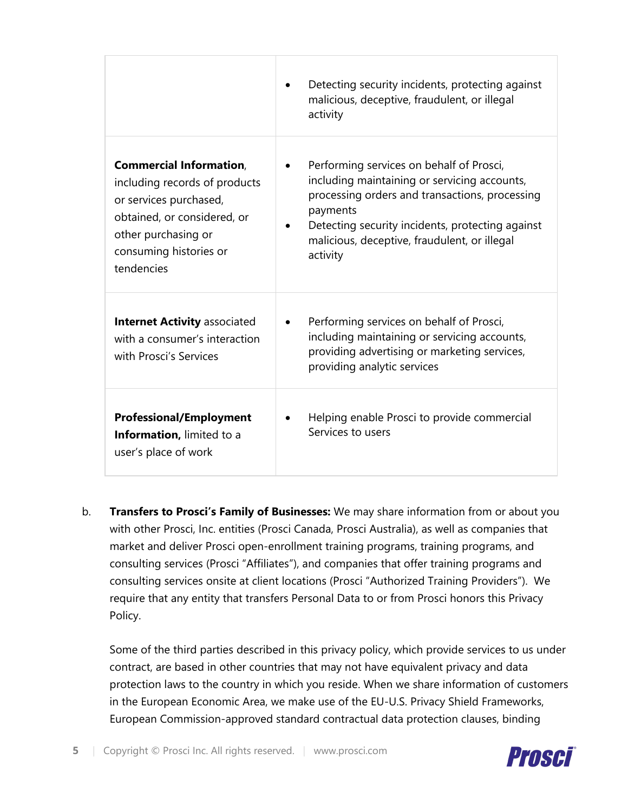|                                                                                                                                                                                         | Detecting security incidents, protecting against<br>malicious, deceptive, fraudulent, or illegal<br>activity                                                                                                                                                           |
|-----------------------------------------------------------------------------------------------------------------------------------------------------------------------------------------|------------------------------------------------------------------------------------------------------------------------------------------------------------------------------------------------------------------------------------------------------------------------|
| <b>Commercial Information,</b><br>including records of products<br>or services purchased,<br>obtained, or considered, or<br>other purchasing or<br>consuming histories or<br>tendencies | Performing services on behalf of Prosci,<br>including maintaining or servicing accounts,<br>processing orders and transactions, processing<br>payments<br>Detecting security incidents, protecting against<br>malicious, deceptive, fraudulent, or illegal<br>activity |
| <b>Internet Activity associated</b><br>with a consumer's interaction<br>with Prosci's Services                                                                                          | Performing services on behalf of Prosci,<br>$\bullet$<br>including maintaining or servicing accounts,<br>providing advertising or marketing services,<br>providing analytic services                                                                                   |
| <b>Professional/Employment</b><br>Information, limited to a<br>user's place of work                                                                                                     | Helping enable Prosci to provide commercial<br>Services to users                                                                                                                                                                                                       |

b. **Transfers to Prosci's Family of Businesses:** We may share information from or about you with other Prosci, Inc. entities (Prosci Canada, Prosci Australia), as well as companies that market and deliver Prosci open-enrollment training programs, training programs, and consulting services (Prosci "Affiliates"), and companies that offer training programs and consulting services onsite at client locations (Prosci "Authorized Training Providers"). We require that any entity that transfers Personal Data to or from Prosci honors this Privacy Policy.

Some of the third parties described in this privacy policy, which provide services to us under contract, are based in other countries that may not have equivalent privacy and data protection laws to the country in which you reside. When we share information of customers in the European Economic Area, we make use of the EU-U.S. Privacy Shield Frameworks, European Commission-approved standard contractual data protection clauses, binding

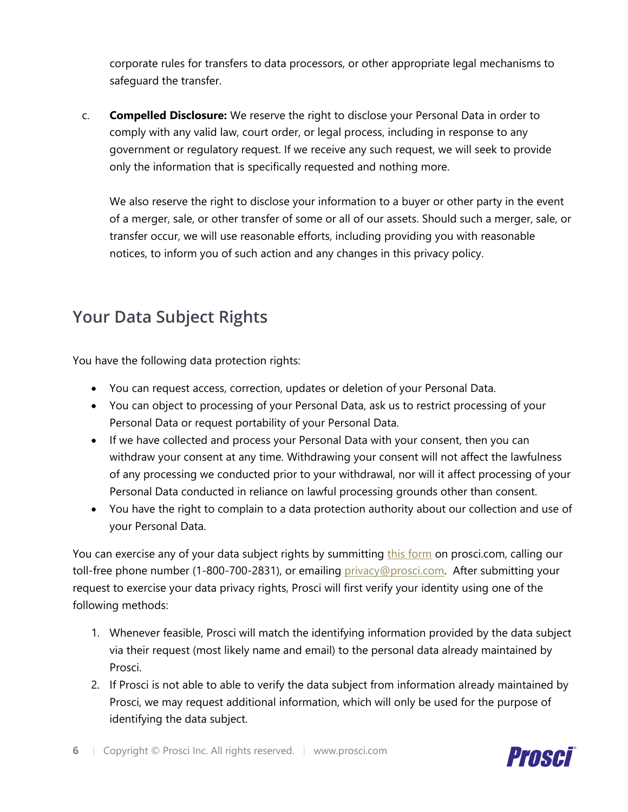corporate rules for transfers to data processors, or other appropriate legal mechanisms to safeguard the transfer.

c. **Compelled Disclosure:** We reserve the right to disclose your Personal Data in order to comply with any valid law, court order, or legal process, including in response to any government or regulatory request. If we receive any such request, we will seek to provide only the information that is specifically requested and nothing more.

We also reserve the right to disclose your information to a buyer or other party in the event of a merger, sale, or other transfer of some or all of our assets. Should such a merger, sale, or transfer occur, we will use reasonable efforts, including providing you with reasonable notices, to inform you of such action and any changes in this privacy policy.

## **Your Data Subject Rights**

You have the following data protection rights:

- You can request access, correction, updates or deletion of your Personal Data.
- You can object to processing of your Personal Data, ask us to restrict processing of your Personal Data or request portability of your Personal Data.
- If we have collected and process your Personal Data with your consent, then you can withdraw your consent at any time. Withdrawing your consent will not affect the lawfulness of any processing we conducted prior to your withdrawal, nor will it affect processing of your Personal Data conducted in reliance on lawful processing grounds other than consent.
- You have the right to complain to a data protection authority about our collection and use of your Personal Data.

You can exercise any of your data subject rights by summitting [this form](https://empower.prosci.com/know-your-data-privacy-rights) on prosci.com, calling our toll-free phone number (1-800-700-2831), or emailing [privacy@prosci.com.](mailto:privacy@prosci.com) After submitting your request to exercise your data privacy rights, Prosci will first verify your identity using one of the following methods:

- 1. Whenever feasible, Prosci will match the identifying information provided by the data subject via their request (most likely name and email) to the personal data already maintained by Prosci.
- 2. If Prosci is not able to able to verify the data subject from information already maintained by Prosci, we may request additional information, which will only be used for the purpose of identifying the data subject.

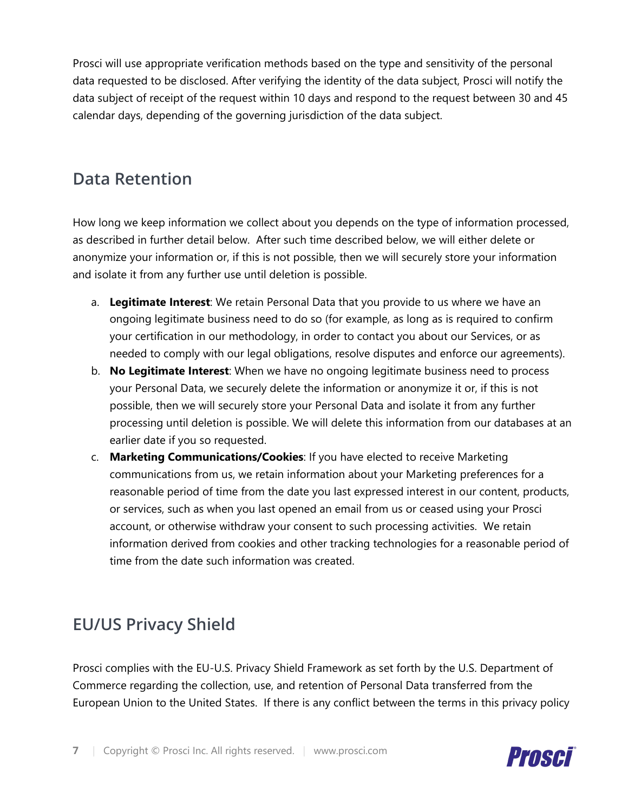Prosci will use appropriate verification methods based on the type and sensitivity of the personal data requested to be disclosed. After verifying the identity of the data subject, Prosci will notify the data subject of receipt of the request within 10 days and respond to the request between 30 and 45 calendar days, depending of the governing jurisdiction of the data subject.

## **Data Retention**

How long we keep information we collect about you depends on the type of information processed, as described in further detail below. After such time described below, we will either delete or anonymize your information or, if this is not possible, then we will securely store your information and isolate it from any further use until deletion is possible.

- a. **Legitimate Interest**: We retain Personal Data that you provide to us where we have an ongoing legitimate business need to do so (for example, as long as is required to confirm your certification in our methodology, in order to contact you about our Services, or as needed to comply with our legal obligations, resolve disputes and enforce our agreements).
- b. **No Legitimate Interest**: When we have no ongoing legitimate business need to process your Personal Data, we securely delete the information or anonymize it or, if this is not possible, then we will securely store your Personal Data and isolate it from any further processing until deletion is possible. We will delete this information from our databases at an earlier date if you so requested.
- c. **Marketing Communications/Cookies**: If you have elected to receive Marketing communications from us, we retain information about your Marketing preferences for a reasonable period of time from the date you last expressed interest in our content, products, or services, such as when you last opened an email from us or ceased using your Prosci account, or otherwise withdraw your consent to such processing activities. We retain information derived from cookies and other tracking technologies for a reasonable period of time from the date such information was created.

## **EU/US Privacy Shield**

Prosci complies with the EU-U.S. Privacy Shield Framework as set forth by the U.S. Department of Commerce regarding the collection, use, and retention of Personal Data transferred from the European Union to the United States. If there is any conflict between the terms in this privacy policy

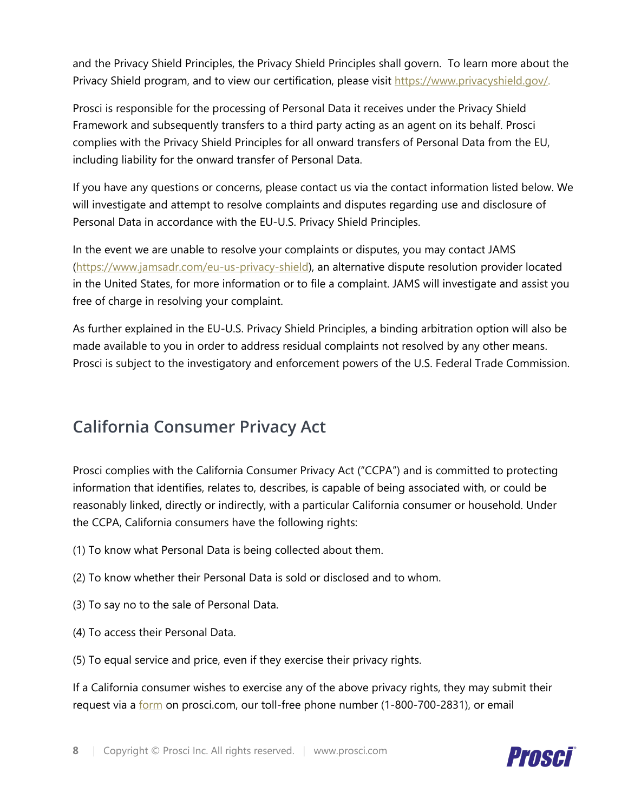and the Privacy Shield Principles, the Privacy Shield Principles shall govern. To learn more about the Privacy Shield program, and to view our certification, please visit [https://www.privacyshield.gov/.](https://www.privacyshield.gov/)

Prosci is responsible for the processing of Personal Data it receives under the Privacy Shield Framework and subsequently transfers to a third party acting as an agent on its behalf. Prosci complies with the Privacy Shield Principles for all onward transfers of Personal Data from the EU, including liability for the onward transfer of Personal Data.

If you have any questions or concerns, please contact us via the contact information listed below. We will investigate and attempt to resolve complaints and disputes regarding use and disclosure of Personal Data in accordance with the EU-U.S. Privacy Shield Principles.

In the event we are unable to resolve your complaints or disputes, you may contact JAMS [\(https://www.jamsadr.com/eu-us-privacy-shield\)](https://www.jamsadr.com/eu-us-privacy-shield), an alternative dispute resolution provider located in the United States, for more information or to file a complaint. JAMS will investigate and assist you free of charge in resolving your complaint.

As further explained in the EU-U.S. Privacy Shield Principles, a binding arbitration option will also be made available to you in order to address residual complaints not resolved by any other means. Prosci is subject to the investigatory and enforcement powers of the U.S. Federal Trade Commission.

## **California Consumer Privacy Act**

Prosci complies with the California Consumer Privacy Act ("CCPA") and is committed to protecting information that identifies, relates to, describes, is capable of being associated with, or could be reasonably linked, directly or indirectly, with a particular California consumer or household. Under the CCPA, California consumers have the following rights:

- (1) To know what Personal Data is being collected about them.
- (2) To know whether their Personal Data is sold or disclosed and to whom.
- (3) To say no to the sale of Personal Data.
- (4) To access their Personal Data.
- (5) To equal service and price, even if they exercise their privacy rights.

If a California consumer wishes to exercise any of the above privacy rights, they may submit their request via a [form](https://empower.prosci.com/know-your-data-privacy-rights) on prosci.com, our toll-free phone number (1-800-700-2831), or email

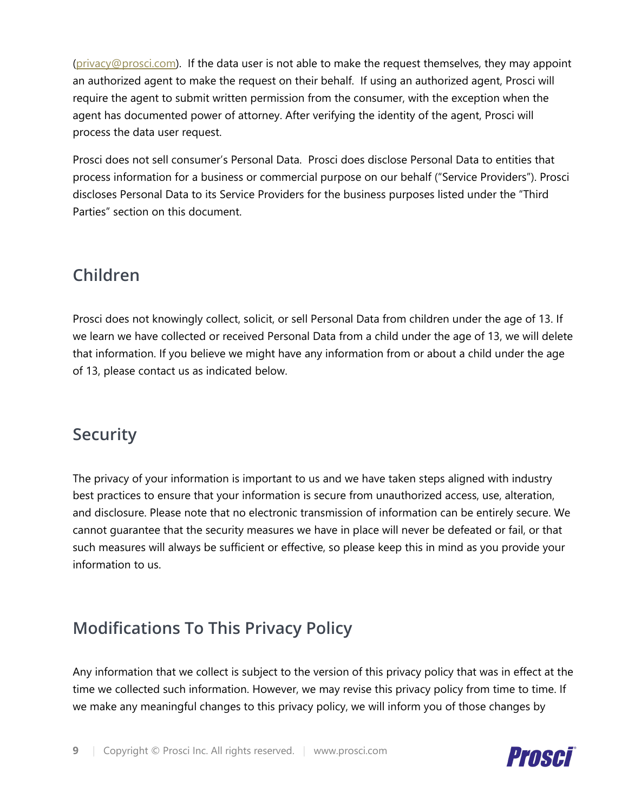[\(privacy@prosci.com\)](mailto:privacy@prosci.com). If the data user is not able to make the request themselves, they may appoint an authorized agent to make the request on their behalf. If using an authorized agent, Prosci will require the agent to submit written permission from the consumer, with the exception when the agent has documented power of attorney. After verifying the identity of the agent, Prosci will process the data user request.

Prosci does not sell consumer's Personal Data. Prosci does disclose Personal Data to entities that process information for a business or commercial purpose on our behalf ("Service Providers"). Prosci discloses Personal Data to its Service Providers for the business purposes listed under the "Third Parties" section on this document.

## **Children**

Prosci does not knowingly collect, solicit, or sell Personal Data from children under the age of 13. If we learn we have collected or received Personal Data from a child under the age of 13, we will delete that information. If you believe we might have any information from or about a child under the age of 13, please contact us as indicated below.

## **Security**

The privacy of your information is important to us and we have taken steps aligned with industry best practices to ensure that your information is secure from unauthorized access, use, alteration, and disclosure. Please note that no electronic transmission of information can be entirely secure. We cannot guarantee that the security measures we have in place will never be defeated or fail, or that such measures will always be sufficient or effective, so please keep this in mind as you provide your information to us.

# **Modifications To This Privacy Policy**

Any information that we collect is subject to the version of this privacy policy that was in effect at the time we collected such information. However, we may revise this privacy policy from time to time. If we make any meaningful changes to this privacy policy, we will inform you of those changes by